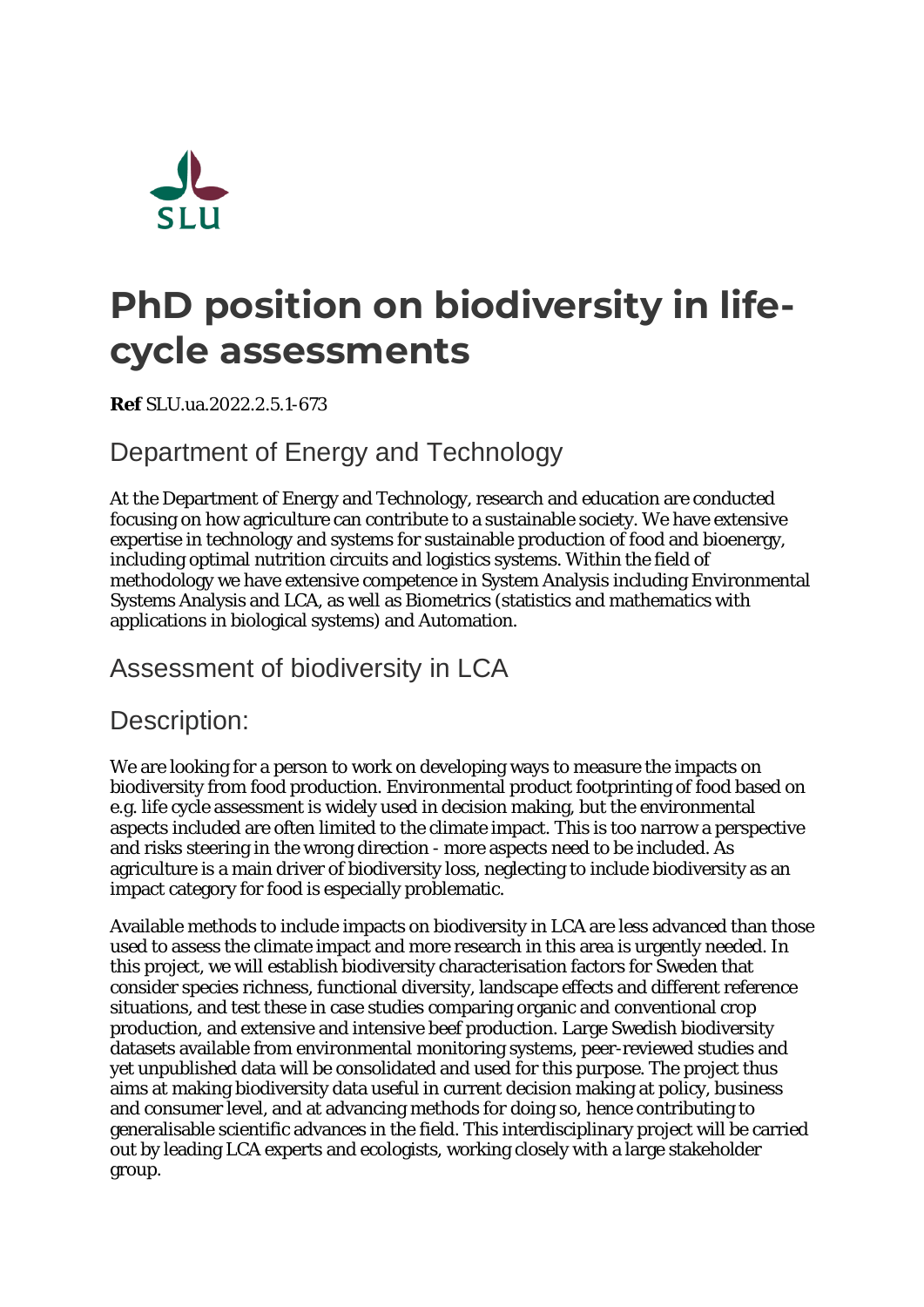

# **PhD position on biodiversity in lifecycle assessments**

**Ref** SLU.ua.2022.2.5.1-673

# Department of Energy and Technology

At the Department of Energy and Technology, research and education are conducted focusing on how agriculture can contribute to a sustainable society. We have extensive expertise in technology and systems for sustainable production of food and bioenergy, including optimal nutrition circuits and logistics systems. Within the field of methodology we have extensive competence in System Analysis including Environmental Systems Analysis and LCA, as well as Biometrics (statistics and mathematics with applications in biological systems) and Automation.

### Assessment of biodiversity in LCA

#### Description:

We are looking for a person to work on developing ways to measure the impacts on biodiversity from food production. Environmental product footprinting of food based on e.g. life cycle assessment is widely used in decision making, but the environmental aspects included are often limited to the climate impact. This is too narrow a perspective and risks steering in the wrong direction - more aspects need to be included. As agriculture is a main driver of biodiversity loss, neglecting to include biodiversity as an impact category for food is especially problematic.

Available methods to include impacts on biodiversity in LCA are less advanced than those used to assess the climate impact and more research in this area is urgently needed. In this project, we will establish biodiversity characterisation factors for Sweden that consider species richness, functional diversity, landscape effects and different reference situations, and test these in case studies comparing organic and conventional crop production, and extensive and intensive beef production. Large Swedish biodiversity datasets available from environmental monitoring systems, peer-reviewed studies and yet unpublished data will be consolidated and used for this purpose. The project thus aims at making biodiversity data useful in current decision making at policy, business and consumer level, and at advancing methods for doing so, hence contributing to generalisable scientific advances in the field. This interdisciplinary project will be carried out by leading LCA experts and ecologists, working closely with a large stakeholder group.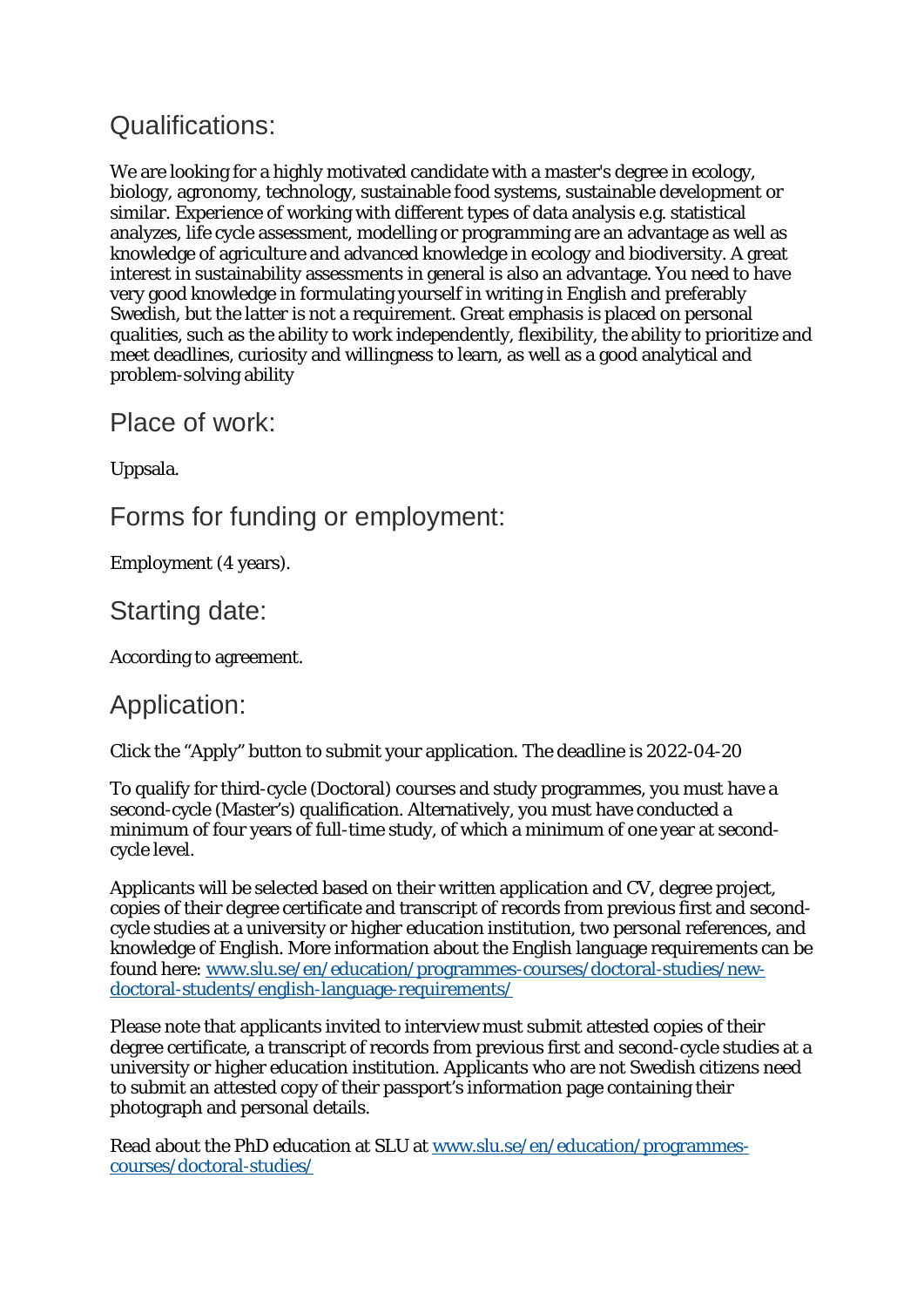# Qualifications:

We are looking for a highly motivated candidate with a master's degree in ecology, biology, agronomy, technology, sustainable food systems, sustainable development or similar. Experience of working with different types of data analysis e.g. statistical analyzes, life cycle assessment, modelling or programming are an advantage as well as knowledge of agriculture and advanced knowledge in ecology and biodiversity. A great interest in sustainability assessments in general is also an advantage. You need to have very good knowledge in formulating yourself in writing in English and preferably Swedish, but the latter is not a requirement. Great emphasis is placed on personal qualities, such as the ability to work independently, flexibility, the ability to prioritize and meet deadlines, curiosity and willingness to learn, as well as a good analytical and problem-solving ability

Place of work:

Uppsala.

Forms for funding or employment:

Employment (4 years).

Starting date:

According to agreement.

#### Application:

Click the "Apply" button to submit your application. The deadline is 2022-04-20

To qualify for third-cycle (Doctoral) courses and study programmes, you must have a second-cycle (Master's) qualification. Alternatively, you must have conducted a minimum of four years of full-time study, of which a minimum of one year at secondcycle level.

Applicants will be selected based on their written application and CV, degree project, copies of their degree certificate and transcript of records from previous first and secondcycle studies at a university or higher education institution, two personal references, and knowledge of English. More information about the English language requirements can be found here: [www.slu.se/en/education/programmes-courses/doctoral-studies/new](http://www.slu.se/en/education/programmes-courses/doctoral-studies/new-doctoral-students/english-language-requirements/)[doctoral-students/english-language-requirements/](http://www.slu.se/en/education/programmes-courses/doctoral-studies/new-doctoral-students/english-language-requirements/)

Please note that applicants invited to interview must submit attested copies of their degree certificate, a transcript of records from previous first and second-cycle studies at a university or higher education institution. Applicants who are not Swedish citizens need to submit an attested copy of their passport's information page containing their photograph and personal details.

Read about the PhD education at SLU at [www.slu.se/en/education/programmes](https://www.slu.se/en/education/programmes-courses/doctoral-studies/)[courses/doctoral-studies/](https://www.slu.se/en/education/programmes-courses/doctoral-studies/)